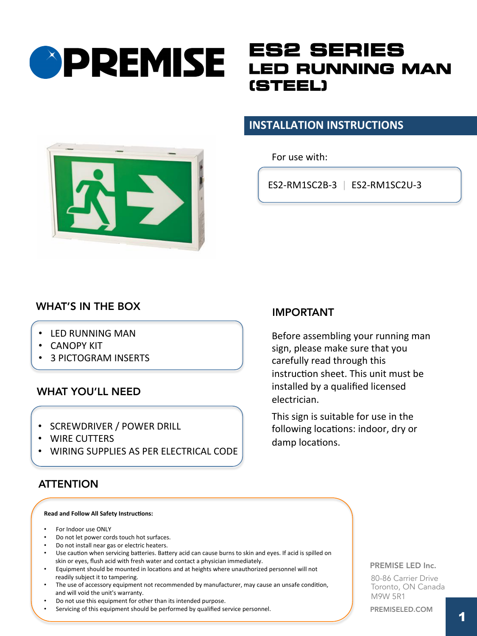# **OPREMISE**

## **ES2 SERIES LED RUNNING MAN (STEEL)**

#### **INSTALLATION INSTRUCTIONS**

For use with:

ES2-RM1SC2B-3 | ES2-RM1SC2U-3



### WHAT'S IN THE BOX

- LED RUNNING MAN
- **CANOPY KIT**
- **3 PICTOGRAM INSERTS**

#### WHAT YOU'LL NEED

- SCREWDRIVER / POWER DRILL
- WIRE CUTTERS
- WIRING SUPPLIES AS PER ELECTRICAL CODE

#### **ATTENTION**

#### **Read and Follow All Safety Instructions:**

- For Indoor use ONLY
- Do not let power cords touch hot surfaces.
- Do not install near gas or electric heaters.
- Use caution when servicing batteries. Battery acid can cause burns to skin and eyes. If acid is spilled on skin or eyes, flush acid with fresh water and contact a physician immediately.
- Equipment should be mounted in locations and at heights where unauthorized personnel will not readily subject it to tampering.
- The use of accessory equipment not recommended by manufacturer, may cause an unsafe condition, and will void the unit's warranty.
- Do not use this equipment for other than its intended purpose.
- Servicing of this equipment should be performed by qualified service personnel.

#### IMPORTANT

Before assembling your running man sign, please make sure that you carefully read through this instruction sheet. This unit must be installed by a qualified licensed electrician. 

This sign is suitable for use in the following locations: indoor, dry or damp locations.

#### PREMISE LED Inc.

80-86 Carrier Drive Toronto, ON Canada M9W 5R1

PREMISELED.COM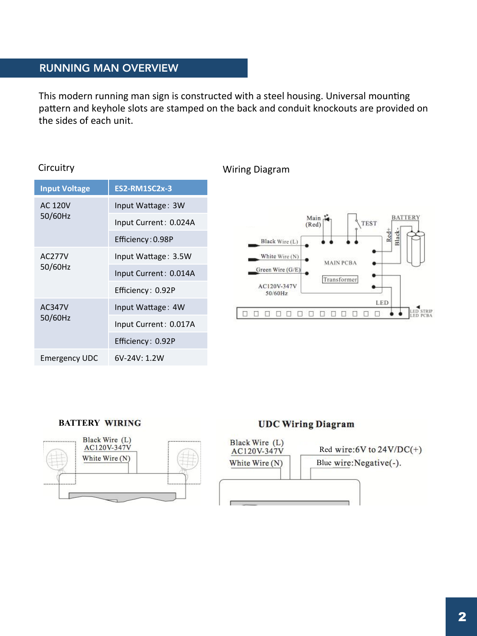#### RUNNING MAN OVERVIEW

This modern running man sign is constructed with a steel housing. Universal mounting pattern and keyhole slots are stamped on the back and conduit knockouts are provided on the sides of each unit.

| <b>Input Voltage</b>      | <b>ES2-RM1SC2x-3</b>  |
|---------------------------|-----------------------|
| <b>AC 120V</b><br>50/60Hz | Input Wattage: 3W     |
|                           | Input Current: 0.024A |
|                           | Efficiency: 0.98P     |
| AC277V<br>50/60Hz         | Input Wattage: 3.5W   |
|                           | Input Current: 0.014A |
|                           | Efficiency: 0.92P     |
| AC347V<br>50/60Hz         | Input Wattage: 4W     |
|                           | Input Current: 0.017A |
|                           | Efficiency: 0.92P     |
| <b>Emergency UDC</b>      | $6V-24V:1.2W$         |

#### Circuitry **Million Communist Circuitry** Wiring Diagram



#### **BATTERY**



#### **UDC Wiring Diagram**

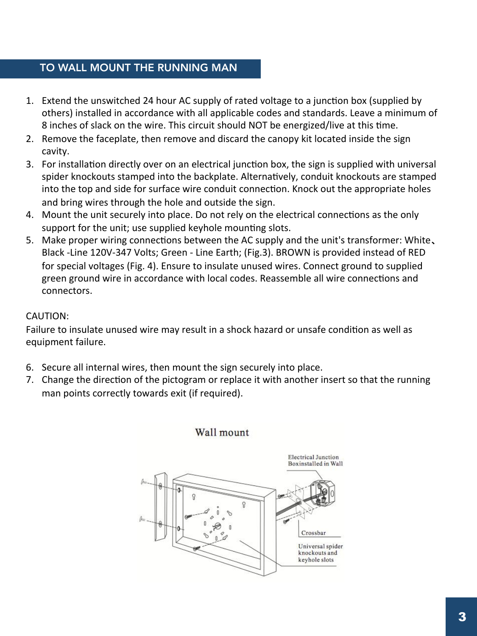#### TO WALL MOUNT THE RUNNING MAN

- 8 inches of slack on the wire. This circuit should NOT be energized/live at this time. 1. Extend the unswitched 24 hour AC supply of rated voltage to a junction box (supplied by others) installed in accordance with all applicable codes and standards. Leave a minimum of
- 2. Remove the faceplate, then remove and discard the canopy kit located inside the sign cavity.
- 3. For installation directly over on an electrical junction box, the sign is supplied with universal spider knockouts stamped into the backplate. Alternatively, conduit knockouts are stamped into the top and side for surface wire conduit connection. Knock out the appropriate holes and bring wires through the hole and outside the sign.
- 4. Mount the unit securely into place. Do not rely on the electrical connections as the only support for the unit; use supplied keyhole mounting slots.
- 5. Make proper wiring connections between the AC supply and the unit's transformer: White. Black -Line 120V-347 Volts; Green - Line Earth; (Fig.3). BROWN is provided instead of RED for special voltages (Fig. 4). Ensure to insulate unused wires. Connect ground to supplied green ground wire in accordance with local codes. Reassemble all wire connections and connectors.

#### CAUTION:

Failure to insulate unused wire may result in a shock hazard or unsafe condition as well as equipment failure.

- 6. Secure all internal wires, then mount the sign securely into place.
- 7. Change the direction of the pictogram or replace it with another insert so that the running man points correctly towards exit (if required).

Wall mount

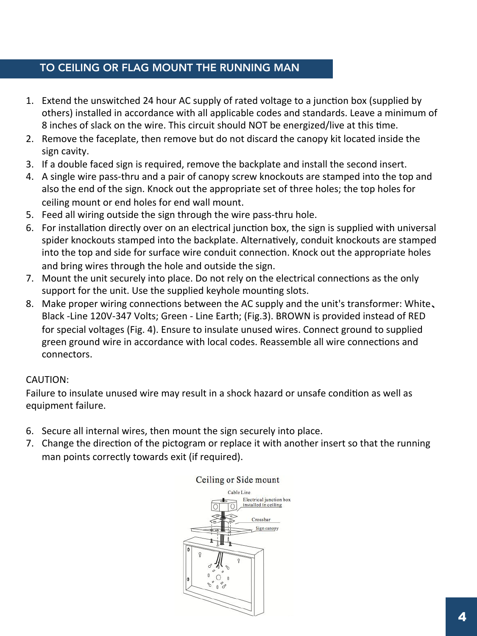#### TO CEILING OR FLAG MOUNT THE RUNNING MAN

- 8 inches of slack on the wire. This circuit should NOT be energized/live at this time. 1. Extend the unswitched 24 hour AC supply of rated voltage to a junction box (supplied by others) installed in accordance with all applicable codes and standards. Leave a minimum of
- 2. Remove the faceplate, then remove but do not discard the canopy kit located inside the sign cavity.
- 3. If a double faced sign is required, remove the backplate and install the second insert.
- 4. A single wire pass-thru and a pair of canopy screw knockouts are stamped into the top and also the end of the sign. Knock out the appropriate set of three holes; the top holes for ceiling mount or end holes for end wall mount.
- 5. Feed all wiring outside the sign through the wire pass-thru hole.
- 6. For installation directly over on an electrical junction box, the sign is supplied with universal spider knockouts stamped into the backplate. Alternatively, conduit knockouts are stamped into the top and side for surface wire conduit connection. Knock out the appropriate holes and bring wires through the hole and outside the sign.
- 7. Mount the unit securely into place. Do not rely on the electrical connections as the only support for the unit. Use the supplied keyhole mounting slots.
- 8. Make proper wiring connections between the AC supply and the unit's transformer: White. Black -Line 120V-347 Volts; Green - Line Earth; (Fig.3). BROWN is provided instead of RED for special voltages (Fig. 4). Ensure to insulate unused wires. Connect ground to supplied green ground wire in accordance with local codes. Reassemble all wire connections and connectors.

#### CAUTION:

Failure to insulate unused wire may result in a shock hazard or unsafe condition as well as equipment failure.

- 6. Secure all internal wires, then mount the sign securely into place.
- 7. Change the direction of the pictogram or replace it with another insert so that the running man points correctly towards exit (if required).